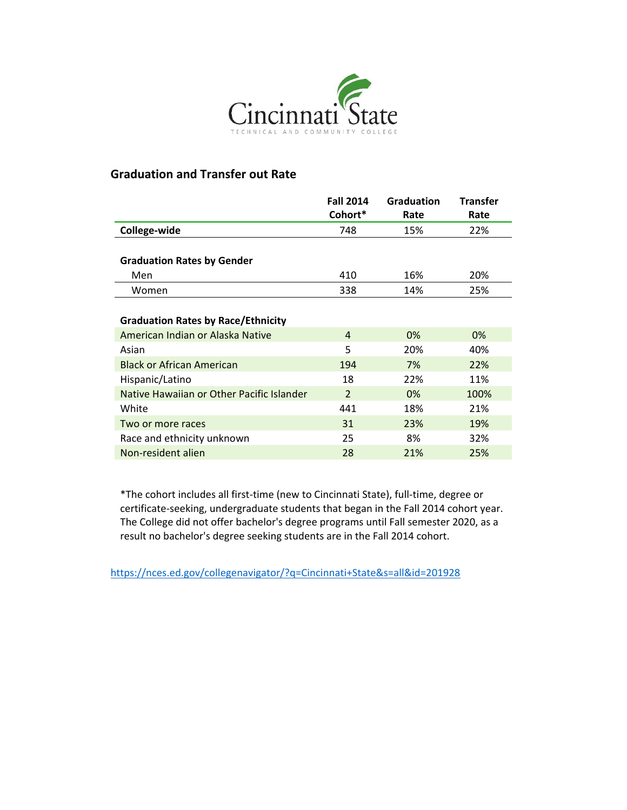

## **Graduation and Transfer out Rate**

|                                           | <b>Fall 2014</b> | <b>Graduation</b> | <b>Transfer</b> |  |
|-------------------------------------------|------------------|-------------------|-----------------|--|
|                                           | Cohort*          | Rate              | Rate            |  |
| College-wide                              | 748              | 15%               | 22%             |  |
|                                           |                  |                   |                 |  |
| <b>Graduation Rates by Gender</b>         |                  |                   |                 |  |
| Men                                       | 410              | 16%               | 20%             |  |
| Women                                     | 338              | 14%               | 25%             |  |
|                                           |                  |                   |                 |  |
| <b>Graduation Rates by Race/Ethnicity</b> |                  |                   |                 |  |
| American Indian or Alaska Native          | 4                | 0%                | 0%              |  |
| Asian                                     | 5                | 20%               | 40%             |  |
| <b>Black or African American</b>          | 194              | 7%                | 22%             |  |
| Hispanic/Latino                           | 18               | 22%               | 11%             |  |
| Native Hawaiian or Other Pacific Islander | $\overline{2}$   | 0%                | 100%            |  |
| White                                     | 441              | 18%               | 21%             |  |
| Two or more races                         | 31               | 23%               | 19%             |  |
| Race and ethnicity unknown                | 25               | 8%                | 32%             |  |
| Non-resident alien                        | 28               | 21%               | 25%             |  |

\*The cohort includes all first-time (new to Cincinnati State), full-time, degree or certificate-seeking, undergraduate students that began in the Fall 2014 cohort year. The College did not offer bachelor's degree programs until Fall semester 2020, as a result no bachelor's degree seeking students are in the Fall 2014 cohort.

<https://nces.ed.gov/collegenavigator/?q=Cincinnati+State&s=all&id=201928>